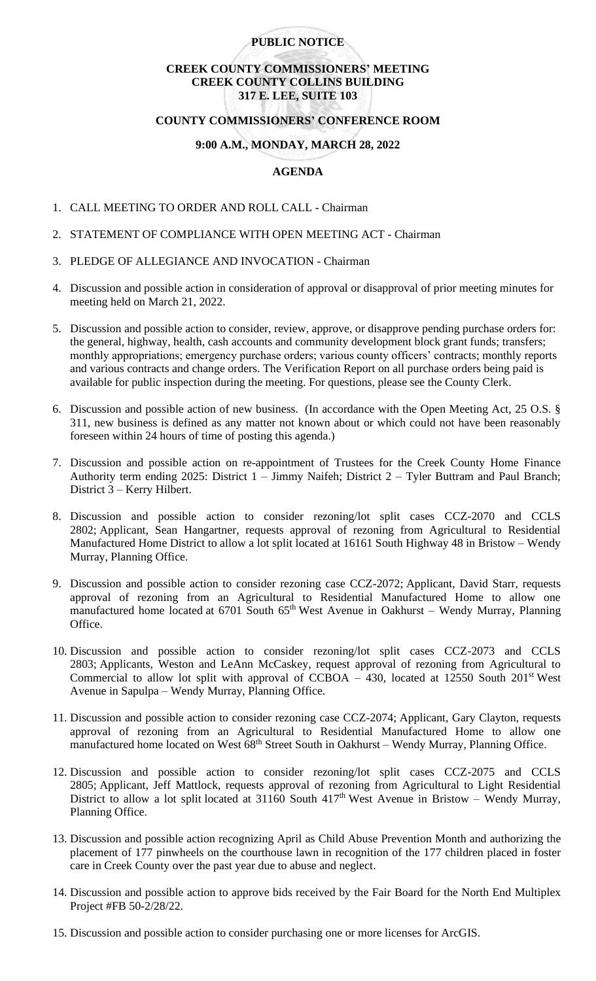## **PUBLIC NOTICE**

# **CREEK COUNTY COMMISSIONERS' MEETING CREEK COUNTY COLLINS BUILDING 317 E. LEE, SUITE 103**

### **COUNTY COMMISSIONERS' CONFERENCE ROOM**

## **9:00 A.M., MONDAY, MARCH 28, 2022**

# **AGENDA**

- 1. CALL MEETING TO ORDER AND ROLL CALL Chairman
- 2. STATEMENT OF COMPLIANCE WITH OPEN MEETING ACT Chairman
- 3. PLEDGE OF ALLEGIANCE AND INVOCATION Chairman
- 4. Discussion and possible action in consideration of approval or disapproval of prior meeting minutes for meeting held on March 21, 2022.
- 5. Discussion and possible action to consider, review, approve, or disapprove pending purchase orders for: the general, highway, health, cash accounts and community development block grant funds; transfers; monthly appropriations; emergency purchase orders; various county officers' contracts; monthly reports and various contracts and change orders. The Verification Report on all purchase orders being paid is available for public inspection during the meeting. For questions, please see the County Clerk.
- 6. Discussion and possible action of new business. (In accordance with the Open Meeting Act, 25 O.S. § 311, new business is defined as any matter not known about or which could not have been reasonably foreseen within 24 hours of time of posting this agenda.)
- 7. Discussion and possible action on re-appointment of Trustees for the Creek County Home Finance Authority term ending 2025: District 1 – Jimmy Naifeh; District 2 – Tyler Buttram and Paul Branch; District 3 – Kerry Hilbert.
- 8. Discussion and possible action to consider rezoning/lot split cases CCZ-2070 and CCLS 2802; Applicant, Sean Hangartner, requests approval of rezoning from Agricultural to Residential Manufactured Home District to allow a lot split located at 16161 South Highway 48 in Bristow – Wendy Murray, Planning Office.
- 9. Discussion and possible action to consider rezoning case CCZ-2072; Applicant, David Starr, requests approval of rezoning from an Agricultural to Residential Manufactured Home to allow one manufactured home located at 6701 South 65<sup>th</sup> West Avenue in Oakhurst – Wendy Murray, Planning Office.
- 10. Discussion and possible action to consider rezoning/lot split cases CCZ-2073 and CCLS 2803; Applicants, Weston and LeAnn McCaskey, request approval of rezoning from Agricultural to Commercial to allow lot split with approval of CCBOA – 430, located at 12550 South  $201<sup>st</sup>$  West Avenue in Sapulpa – Wendy Murray, Planning Office.
- 11. Discussion and possible action to consider rezoning case CCZ-2074; Applicant, Gary Clayton, requests approval of rezoning from an Agricultural to Residential Manufactured Home to allow one manufactured home located on West 68<sup>th</sup> Street South in Oakhurst – Wendy Murray, Planning Office.
- 12. Discussion and possible action to consider rezoning/lot split cases CCZ-2075 and CCLS 2805; Applicant, Jeff Mattlock, requests approval of rezoning from Agricultural to Light Residential District to allow a lot split located at 31160 South  $417<sup>th</sup>$  West Avenue in Bristow – Wendy Murray, Planning Office.
- 13. Discussion and possible action recognizing April as Child Abuse Prevention Month and authorizing the placement of 177 pinwheels on the courthouse lawn in recognition of the 177 children placed in foster care in Creek County over the past year due to abuse and neglect.
- 14. Discussion and possible action to approve bids received by the Fair Board for the North End Multiplex Project #FB 50-2/28/22.
- 15. Discussion and possible action to consider purchasing one or more licenses for ArcGIS.